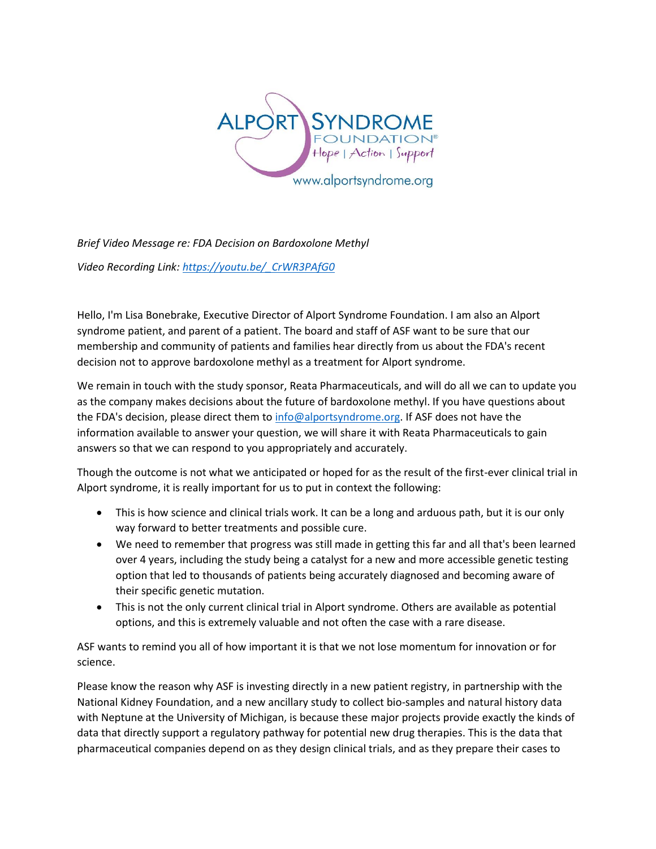

*Brief Video Message re: FDA Decision on Bardoxolone Methyl*

*Video Recording Link: [https://youtu.be/\\_CrWR3PAfG0](https://youtu.be/_CrWR3PAfG0)*

Hello, I'm Lisa Bonebrake, Executive Director of Alport Syndrome Foundation. I am also an Alport syndrome patient, and parent of a patient. The board and staff of ASF want to be sure that our membership and community of patients and families hear directly from us about the FDA's recent decision not to approve bardoxolone methyl as a treatment for Alport syndrome.

We remain in touch with the study sponsor, Reata Pharmaceuticals, and will do all we can to update you as the company makes decisions about the future of bardoxolone methyl. If you have questions about the FDA's decision, please direct them to [info@alportsyndrome.org.](mailto:info@alportsyndrome.org) If ASF does not have the information available to answer your question, we will share it with Reata Pharmaceuticals to gain answers so that we can respond to you appropriately and accurately.

Though the outcome is not what we anticipated or hoped for as the result of the first-ever clinical trial in Alport syndrome, it is really important for us to put in context the following:

- This is how science and clinical trials work. It can be a long and arduous path, but it is our only way forward to better treatments and possible cure.
- We need to remember that progress was still made in getting this far and all that's been learned over 4 years, including the study being a catalyst for a new and more accessible genetic testing option that led to thousands of patients being accurately diagnosed and becoming aware of their specific genetic mutation.
- This is not the only current clinical trial in Alport syndrome. Others are available as potential options, and this is extremely valuable and not often the case with a rare disease.

ASF wants to remind you all of how important it is that we not lose momentum for innovation or for science.

Please know the reason why ASF is investing directly in a new patient registry, in partnership with the National Kidney Foundation, and a new ancillary study to collect bio-samples and natural history data with Neptune at the University of Michigan, is because these major projects provide exactly the kinds of data that directly support a regulatory pathway for potential new drug therapies. This is the data that pharmaceutical companies depend on as they design clinical trials, and as they prepare their cases to